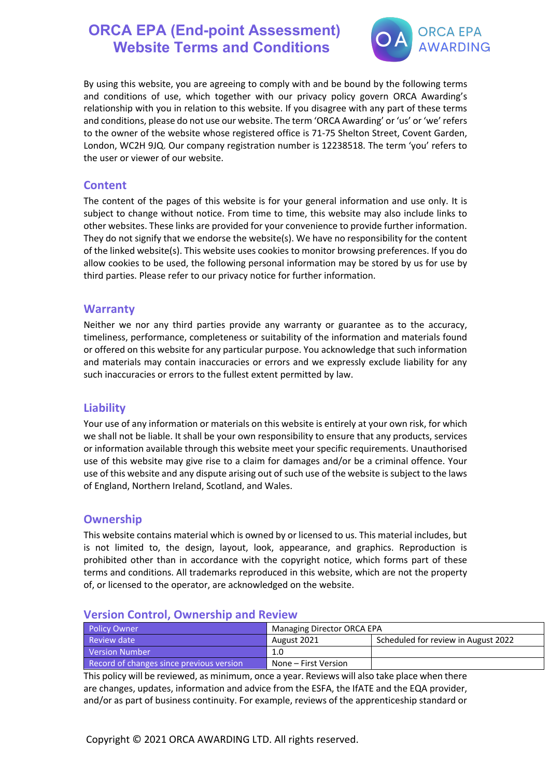# **ORCA EPA (End-point Assessment) Website Terms and Conditions**



By using this website, you are agreeing to comply with and be bound by the following terms and conditions of use, which together with our privacy policy govern ORCA Awarding's relationship with you in relation to this website. If you disagree with any part of these terms and conditions, please do not use our website. The term 'ORCA Awarding' or 'us' or 'we' refers to the owner of the website whose registered office is 71-75 Shelton Street, Covent Garden, London, WC2H 9JQ. Our company registration number is 12238518. The term 'you' refers to the user or viewer of our website.

#### **Content**

The content of the pages of this website is for your general information and use only. It is subject to change without notice. From time to time, this website may also include links to other websites. These links are provided for your convenience to provide further information. They do not signify that we endorse the website(s). We have no responsibility for the content of the linked website(s). This website uses cookies to monitor browsing preferences. If you do allow cookies to be used, the following personal information may be stored by us for use by third parties. Please refer to our privacy notice for further information.

#### **Warranty**

Neither we nor any third parties provide any warranty or guarantee as to the accuracy, timeliness, performance, completeness or suitability of the information and materials found or offered on this website for any particular purpose. You acknowledge that such information and materials may contain inaccuracies or errors and we expressly exclude liability for any such inaccuracies or errors to the fullest extent permitted by law.

### **Liability**

Your use of any information or materials on this website is entirely at your own risk, for which we shall not be liable. It shall be your own responsibility to ensure that any products, services or information available through this website meet your specific requirements. Unauthorised use of this website may give rise to a claim for damages and/or be a criminal offence. Your use of this website and any dispute arising out of such use of the website is subject to the laws of England, Northern Ireland, Scotland, and Wales.

### **Ownership**

This website contains material which is owned by or licensed to us. This material includes, but is not limited to, the design, layout, look, appearance, and graphics. Reproduction is prohibited other than in accordance with the copyright notice, which forms part of these terms and conditions. All trademarks reproduced in this website, which are not the property of, or licensed to the operator, are acknowledged on the website.

### **Version Control, Ownership and Review**

| Policy Owner                             | Managing Director ORCA EPA |                                     |
|------------------------------------------|----------------------------|-------------------------------------|
| Review date                              | August 2021                | Scheduled for review in August 2022 |
| <b>Version Number</b>                    | 1.0                        |                                     |
| Record of changes since previous version | None – First Version       |                                     |

This policy will be reviewed, as minimum, once a year. Reviews will also take place when there are changes, updates, information and advice from the ESFA, the IfATE and the EQA provider, and/or as part of business continuity. For example, reviews of the apprenticeship standard or